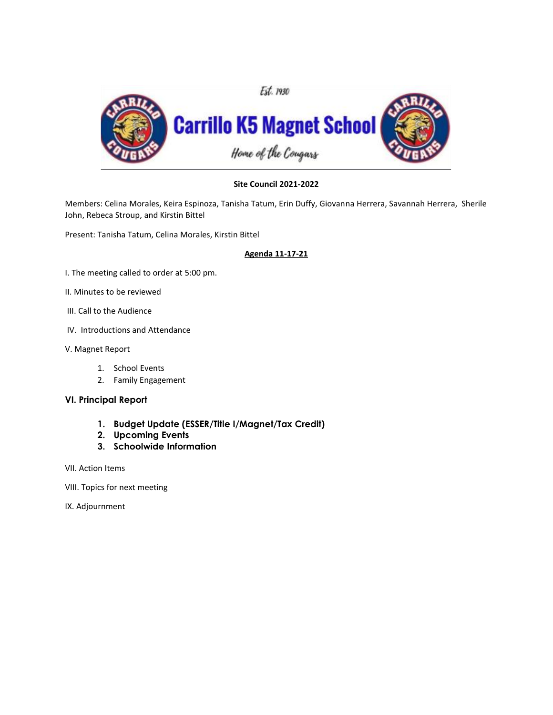

# **Site Council 2021-2022**

Members: Celina Morales, Keira Espinoza, Tanisha Tatum, Erin Duffy, Giovanna Herrera, Savannah Herrera, Sherile John, Rebeca Stroup, and Kirstin Bittel

Present: Tanisha Tatum, Celina Morales, Kirstin Bittel

#### **Agenda 11-17-21**

- I. The meeting called to order at 5:00 pm.
- II. Minutes to be reviewed
- III. Call to the Audience
- IV. Introductions and Attendance
- V. Magnet Report
	- 1. School Events
	- 2. Family Engagement

#### **VI. Principal Report**

- **1. Budget Update (ESSER/Title I/Magnet/Tax Credit)**
- **2. Upcoming Events**
- **3. Schoolwide Information**
- VII. Action Items
- VIII. Topics for next meeting
- IX. Adjournment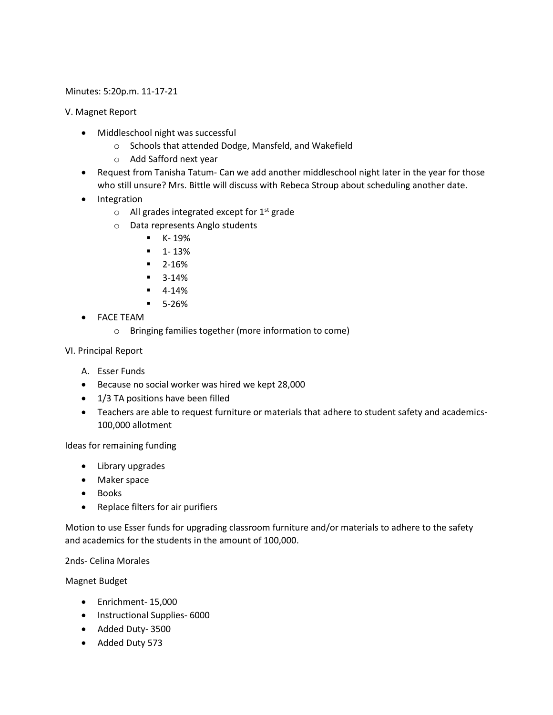### Minutes: 5:20p.m. 11-17-21

V. Magnet Report

- Middleschool night was successful
	- o Schools that attended Dodge, Mansfeld, and Wakefield
	- o Add Safford next year
- Request from Tanisha Tatum- Can we add another middleschool night later in the year for those who still unsure? Mrs. Bittle will discuss with Rebeca Stroup about scheduling another date.
- Integration
	- $\circ$  All grades integrated except for 1<sup>st</sup> grade
	- o Data represents Anglo students
		- $K 19%$
		- $-1 13%$
		- 2-16%
		- 3-14%
		- $-4-14%$
		- 5-26%
- FACE TEAM
	- o Bringing families together (more information to come)
- VI. Principal Report
	- A. Esser Funds
	- Because no social worker was hired we kept 28,000
	- 1/3 TA positions have been filled
	- Teachers are able to request furniture or materials that adhere to student safety and academics-100,000 allotment

Ideas for remaining funding

- Library upgrades
- Maker space
- Books
- Replace filters for air purifiers

Motion to use Esser funds for upgrading classroom furniture and/or materials to adhere to the safety and academics for the students in the amount of 100,000.

2nds- Celina Morales

Magnet Budget

- Enrichment- 15,000
- Instructional Supplies- 6000
- Added Duty- 3500
- Added Duty 573